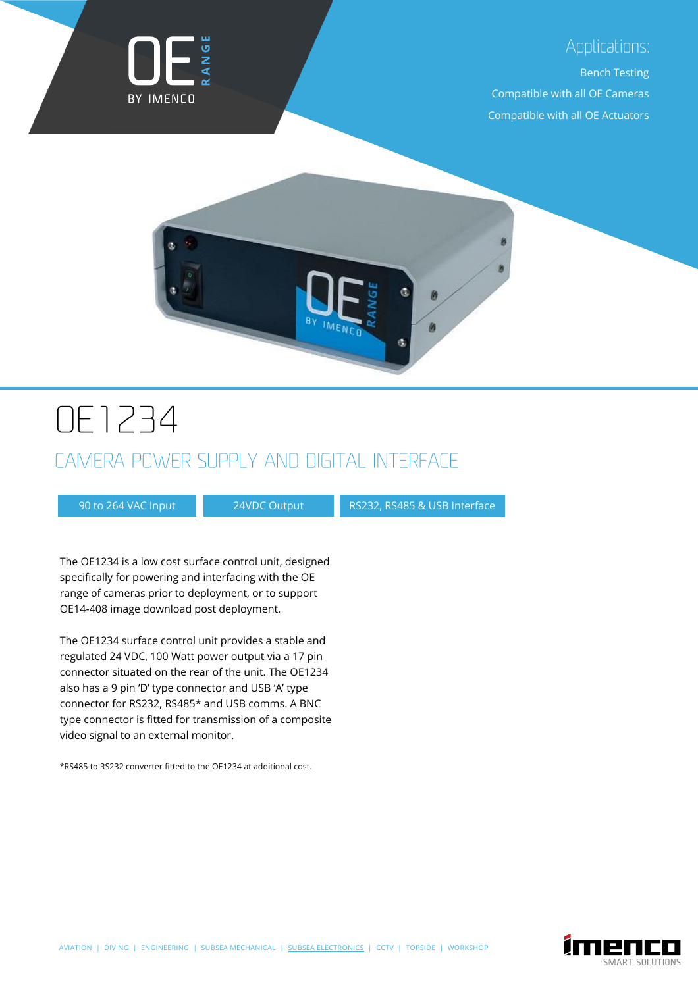

#### Applications:

Bench Testing

Compatible with all OE Cameras Compatible with all OE Actuators



# **DE1234**

## CAMERA POWER SUPPLY AND DIGITAL INTERFACE

90 to 264 VAC Input 24VDC Output RS232, RS485 & USB Interface

The OE1234 is a low cost surface control unit, designed specifically for powering and interfacing with the OE range of cameras prior to deployment, or to support OE14-408 image download post deployment.

The OE1234 surface control unit provides a stable and regulated 24 VDC, 100 Watt power output via a 17 pin connector situated on the rear of the unit. The OE1234 also has a 9 pin 'D' type connector and USB 'A' type connector for RS232, RS485\* and USB comms. A BNC type connector is fitted for transmission of a composite video signal to an external monitor.

\*RS485 to RS232 converter fitted to the OE1234 at additional cost.